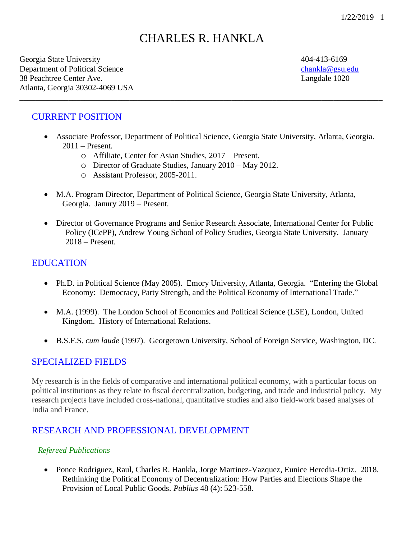# CHARLES R. HANKLA

\_\_\_\_\_\_\_\_\_\_\_\_\_\_\_\_\_\_\_\_\_\_\_\_\_\_\_\_\_\_\_\_\_\_\_\_\_\_\_\_\_\_\_\_\_\_\_\_\_\_\_\_\_\_\_\_\_\_\_\_\_\_\_\_\_\_\_\_\_\_\_\_\_\_\_\_\_\_\_\_\_\_\_\_\_\_\_\_\_

Georgia State University 404-413-6169 Department of Political Science [chankla@gsu.edu](mailto:chankla@gsu.edu) 38 Peachtree Center Ave. Langdale 1020 Atlanta, Georgia 30302-4069 USA

## CURRENT POSITION

- Associate Professor, Department of Political Science, Georgia State University, Atlanta, Georgia. 2011 – Present.
	- o Affiliate, Center for Asian Studies, 2017 Present.
	- o Director of Graduate Studies, January 2010 May 2012.
	- o Assistant Professor, 2005-2011.
- M.A. Program Director, Department of Political Science, Georgia State University, Atlanta, Georgia. Janury 2019 – Present.
- Director of Governance Programs and Senior Research Associate, International Center for Public Policy (ICePP), Andrew Young School of Policy Studies, Georgia State University. January 2018 – Present.

## **EDUCATION**

- Ph.D. in Political Science (May 2005). Emory University, Atlanta, Georgia. "Entering the Global Economy: Democracy, Party Strength, and the Political Economy of International Trade."
- M.A. (1999). The London School of Economics and Political Science (LSE), London, United Kingdom. History of International Relations.
- B.S.F.S. *cum laude* (1997). Georgetown University, School of Foreign Service, Washington, DC.

### SPECIALIZED FIELDS

My research is in the fields of comparative and international political economy, with a particular focus on political institutions as they relate to fiscal decentralization, budgeting, and trade and industrial policy. My research projects have included cross-national, quantitative studies and also field-work based analyses of India and France.

## RESEARCH AND PROFESSIONAL DEVELOPMENT

#### *Refereed Publications*

• Ponce Rodriguez, Raul, Charles R. Hankla, Jorge Martinez-Vazquez, Eunice Heredia-Ortiz. 2018. Rethinking the Political Economy of Decentralization: How Parties and Elections Shape the Provision of Local Public Goods. *Publius* 48 (4): 523-558.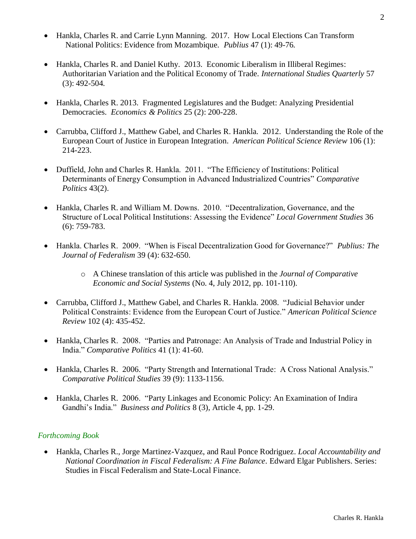- Hankla, Charles R. and Carrie Lynn Manning. 2017. How Local Elections Can Transform National Politics: Evidence from Mozambique. *Publius* 47 (1): 49-76*.*
- Hankla, Charles R. and Daniel Kuthy. 2013. Economic Liberalism in Illiberal Regimes: Authoritarian Variation and the Political Economy of Trade. *International Studies Quarterly* 57 (3): 492-504*.*
- Hankla, Charles R. 2013. Fragmented Legislatures and the Budget: Analyzing Presidential Democracies. *Economics & Politics* 25 (2): 200-228.
- Carrubba, Clifford J., Matthew Gabel, and Charles R. Hankla. 2012. Understanding the Role of the European Court of Justice in European Integration. *American Political Science Review* 106 (1): 214-223.
- Duffield, John and Charles R. Hankla. 2011. "The Efficiency of Institutions: Political Determinants of Energy Consumption in Advanced Industrialized Countries" *Comparative Politics* 43(2).
- Hankla, Charles R. and William M. Downs. 2010. "Decentralization, Governance, and the Structure of Local Political Institutions: Assessing the Evidence" *Local Government Studies* 36 (6): 759-783.
- Hankla. Charles R. 2009. "When is Fiscal Decentralization Good for Governance?" *Publius: The Journal of Federalism* 39 (4): 632-650.
	- o A Chinese translation of this article was published in the *Journal of Comparative Economic and Social Systems* (No. 4, July 2012, pp. 101-110).
- Carrubba, Clifford J., Matthew Gabel, and Charles R. Hankla. 2008. "Judicial Behavior under Political Constraints: Evidence from the European Court of Justice." *American Political Science Review* 102 (4): 435-452.
- Hankla, Charles R. 2008. "Parties and Patronage: An Analysis of Trade and Industrial Policy in India." *Comparative Politics* 41 (1): 41-60.
- Hankla, Charles R. 2006. "Party Strength and International Trade: A Cross National Analysis." *Comparative Political Studies* 39 (9): 1133-1156.
- Hankla, Charles R. 2006. "Party Linkages and Economic Policy: An Examination of Indira Gandhi's India." *Business and Politics* 8 (3), Article 4, pp. 1-29.

### *Forthcoming Book*

• Hankla, Charles R., Jorge Martinez-Vazquez, and Raul Ponce Rodriguez. *Local Accountability and National Coordination in Fiscal Federalism: A Fine Balance*. Edward Elgar Publishers. Series: Studies in Fiscal Federalism and State-Local Finance.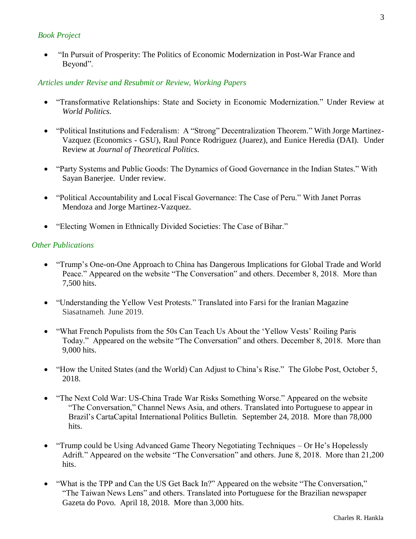#### *Book Project*

• "In Pursuit of Prosperity: The Politics of Economic Modernization in Post-War France and Beyond".

#### *Articles under Revise and Resubmit or Review, Working Papers*

- "Transformative Relationships: State and Society in Economic Modernization." Under Review at *World Politics.*
- "Political Institutions and Federalism: A "Strong" Decentralization Theorem." With Jorge Martinez-Vazquez (Economics - GSU), Raul Ponce Rodriguez (Juarez), and Eunice Heredia (DAI). Under Review at *Journal of Theoretical Politics.*
- "Party Systems and Public Goods: The Dynamics of Good Governance in the Indian States." With Sayan Banerjee. Under review*.*
- "Political Accountability and Local Fiscal Governance: The Case of Peru." With Janet Porras Mendoza and Jorge Martinez-Vazquez.
- "Electing Women in Ethnically Divided Societies: The Case of Bihar."

#### *Other Publications*

- "Trump's One-on-One Approach to China has Dangerous Implications for Global Trade and World Peace." Appeared on the website "The Conversation" and others. December 8, 2018. More than 7,500 hits.
- "Understanding the Yellow Vest Protests." Translated into Farsi for the Iranian Magazine Siasatnameh. June 2019.
- "What French Populists from the 50s Can Teach Us About the 'Yellow Vests' Roiling Paris Today." Appeared on the website "The Conversation" and others. December 8, 2018. More than 9,000 hits.
- "How the United States (and the World) Can Adjust to China's Rise." The Globe Post, October 5, 2018.
- "The Next Cold War: US-China Trade War Risks Something Worse." Appeared on the website "The Conversation," Channel News Asia, and others. Translated into Portuguese to appear in Brazil's CartaCapital International Politics Bulletin. September 24, 2018. More than 78,000 hits.
- "Trump could be Using Advanced Game Theory Negotiating Techniques Or He's Hopelessly Adrift." Appeared on the website "The Conversation" and others. June 8, 2018. More than 21,200 hits.
- "What is the TPP and Can the US Get Back In?" Appeared on the website "The Conversation," "The Taiwan News Lens" and others. Translated into Portuguese for the Brazilian newspaper Gazeta do Povo. April 18, 2018. More than 3,000 hits.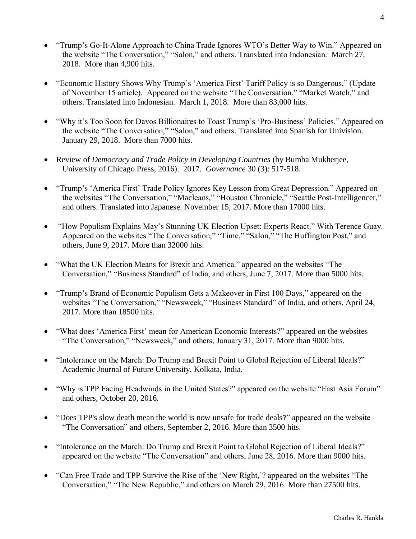- "Trump's Go-It-Alone Approach to China Trade Ignores WTO's Better Way to Win." Appeared on the website "The Conversation," "Salon," and others. Translated into Indonesian. March 27, 2018. More than 4,900 hits.
- "Economic History Shows Why Trump's 'America First' Tariff Policy is so Dangerous," (Update of November 15 article). Appeared on the website "The Conversation," "Market Watch," and others. Translated into Indonesian. March 1, 2018. More than 83,000 hits.
- "Why it's Too Soon for Davos Billionaires to Toast Trump's 'Pro-Business' Policies." Appeared on the website "The Conversation," "Salon," and others. Translated into Spanish for Univision. January 29, 2018. More than 7000 hits.
- Review of *Democracy and Trade Policy in Developing Countries* (by Bumba Mukherjee, University of Chicago Press, 2016). 2017. *Governance* 30 (3): 517-518.
- "Trump's 'America First' Trade Policy Ignores Key Lesson from Great Depression." Appeared on the websites "The Conversation," "Macleans," "Houston Chronicle," "Seattle Post-Intelligencer," and others. Translated into Japanese. November 15, 2017. More than 17000 hits.
- "How Populism Explains May's Stunning UK Election Upset: Experts React." With Terence Guay. Appeared on the websites "The Conversation," "Time," "Salon," "The Huffington Post," and others, June 9, 2017. More than 32000 hits.
- "What the UK Election Means for Brexit and America." appeared on the websites "The Conversation," "Business Standard" of India, and others, June 7, 2017. More than 5000 hits.
- "Trump's Brand of Economic Populism Gets a Makeover in First 100 Days," appeared on the websites "The Conversation," "Newsweek," "Business Standard" of India, and others, April 24, 2017. More than 18500 hits.
- "What does 'America First' mean for American Economic Interests?" appeared on the websites "The Conversation," "Newsweek," and others, January 31, 2017. More than 9000 hits.
- "Intolerance on the March: Do Trump and Brexit Point to Global Rejection of Liberal Ideals?" Academic Journal of Future University, Kolkata, India.
- "Why is TPP Facing Headwinds in the United States?" appeared on the website "East Asia Forum" and others, October 20, 2016.
- "Does TPP's slow death mean the world is now unsafe for trade deals?" appeared on the website "The Conversation" and others, September 2, 2016. More than 3500 hits.
- "Intolerance on the March: Do Trump and Brexit Point to Global Rejection of Liberal Ideals?" appeared on the website "The Conversation" and others, June 28, 2016. More than 9000 hits.
- "Can Free Trade and TPP Survive the Rise of the 'New Right,'? appeared on the websites "The Conversation," "The New Republic," and others on March 29, 2016. More than 27500 hits.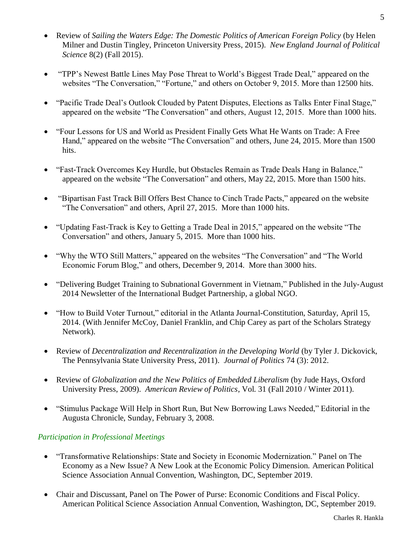- Review of *Sailing the Waters Edge: The Domestic Politics of American Foreign Policy* (by Helen Milner and Dustin Tingley, Princeton University Press, 2015). *New England Journal of Political Science* 8(2) (Fall 2015).
- "TPP's Newest Battle Lines May Pose Threat to World's Biggest Trade Deal," appeared on the websites "The Conversation," "Fortune," and others on October 9, 2015. More than 12500 hits.
- "Pacific Trade Deal's Outlook Clouded by Patent Disputes, Elections as Talks Enter Final Stage," appeared on the website "The Conversation" and others, August 12, 2015. More than 1000 hits.
- "Four Lessons for US and World as President Finally Gets What He Wants on Trade: A Free Hand," appeared on the website "The Conversation" and others, June 24, 2015. More than 1500 hits.
- "Fast-Track Overcomes Key Hurdle, but Obstacles Remain as Trade Deals Hang in Balance," appeared on the website "The Conversation" and others, May 22, 2015. More than 1500 hits.
- "Bipartisan Fast Track Bill Offers Best Chance to Cinch Trade Pacts," appeared on the website "The Conversation" and others, April 27, 2015. More than 1000 hits.
- "Updating Fast-Track is Key to Getting a Trade Deal in 2015," appeared on the website "The Conversation" and others, January 5, 2015. More than 1000 hits.
- "Why the WTO Still Matters," appeared on the websites "The Conversation" and "The World" Economic Forum Blog," and others, December 9, 2014. More than 3000 hits.
- "Delivering Budget Training to Subnational Government in Vietnam," Published in the July-August 2014 Newsletter of the International Budget Partnership, a global NGO.
- "How to Build Voter Turnout," editorial in the Atlanta Journal-Constitution, Saturday, April 15, 2014. (With Jennifer McCoy, Daniel Franklin, and Chip Carey as part of the Scholars Strategy Network).
- Review of *Decentralization and Recentralization in the Developing World* (by Tyler J. Dickovick, The Pennsylvania State University Press, 2011). *Journal of Politics* 74 (3): 2012.
- Review of *Globalization and the New Politics of Embedded Liberalism* (by Jude Hays, Oxford University Press, 2009). *American Review of Politics*, Vol. 31 (Fall 2010 / Winter 2011).
- "Stimulus Package Will Help in Short Run, But New Borrowing Laws Needed," Editorial in the Augusta Chronicle, Sunday, February 3, 2008.

## *Participation in Professional Meetings*

- "Transformative Relationships: State and Society in Economic Modernization." Panel on The Economy as a New Issue? A New Look at the Economic Policy Dimension. American Political Science Association Annual Convention, Washington, DC, September 2019.
- Chair and Discussant, Panel on The Power of Purse: Economic Conditions and Fiscal Policy. American Political Science Association Annual Convention, Washington, DC, September 2019.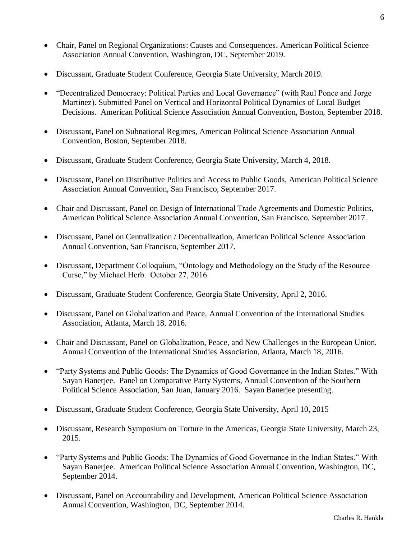- Chair, Panel on Regional Organizations: Causes and Consequences**.** American Political Science Association Annual Convention, Washington, DC, September 2019.
- Discussant, Graduate Student Conference, Georgia State University, March 2019.
- "Decentralized Democracy: Political Parties and Local Governance" (with Raul Ponce and Jorge Martinez). Submitted Panel on Vertical and Horizontal Political Dynamics of Local Budget Decisions. American Political Science Association Annual Convention, Boston, September 2018.
- Discussant, Panel on Subnational Regimes, American Political Science Association Annual Convention, Boston, September 2018.
- Discussant, Graduate Student Conference, Georgia State University, March 4, 2018.
- Discussant, Panel on Distributive Politics and Access to Public Goods, American Political Science Association Annual Convention, San Francisco, September 2017.
- Chair and Discussant, Panel on Design of International Trade Agreements and Domestic Politics, American Political Science Association Annual Convention, San Francisco, September 2017.
- Discussant, Panel on Centralization / Decentralization, American Political Science Association Annual Convention, San Francisco, September 2017.
- Discussant, Department Colloquium, "Ontology and Methodology on the Study of the Resource Curse," by Michael Herb. October 27, 2016.
- Discussant, Graduate Student Conference, Georgia State University, April 2, 2016.
- Discussant, Panel on Globalization and Peace, Annual Convention of the International Studies Association, Atlanta, March 18, 2016.
- Chair and Discussant, Panel on Globalization, Peace, and New Challenges in the European Union. Annual Convention of the International Studies Association, Atlanta, March 18, 2016.
- "Party Systems and Public Goods: The Dynamics of Good Governance in the Indian States." With Sayan Banerjee. Panel on Comparative Party Systems, Annual Convention of the Southern Political Science Association, San Juan, January 2016. Sayan Banerjee presenting.
- Discussant, Graduate Student Conference, Georgia State University, April 10, 2015
- Discussant, Research Symposium on Torture in the Americas, Georgia State University, March 23, 2015.
- "Party Systems and Public Goods: The Dynamics of Good Governance in the Indian States." With Sayan Banerjee. American Political Science Association Annual Convention, Washington, DC, September 2014.
- Discussant, Panel on Accountability and Development, American Political Science Association Annual Convention, Washington, DC, September 2014.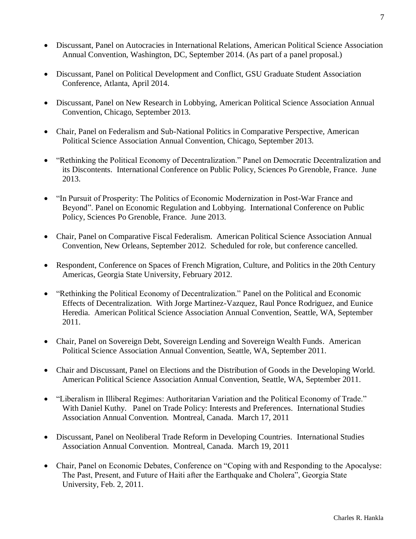- Discussant, Panel on Autocracies in International Relations, American Political Science Association Annual Convention, Washington, DC, September 2014. (As part of a panel proposal.)
- Discussant, Panel on Political Development and Conflict, GSU Graduate Student Association Conference, Atlanta, April 2014.
- Discussant, Panel on New Research in Lobbying, American Political Science Association Annual Convention, Chicago, September 2013.
- Chair, Panel on Federalism and Sub-National Politics in Comparative Perspective, American Political Science Association Annual Convention, Chicago, September 2013.
- "Rethinking the Political Economy of Decentralization." Panel on Democratic Decentralization and its Discontents. International Conference on Public Policy, Sciences Po Grenoble, France. June 2013.
- "In Pursuit of Prosperity: The Politics of Economic Modernization in Post-War France and Beyond". Panel on Economic Regulation and Lobbying. International Conference on Public Policy, Sciences Po Grenoble, France. June 2013.
- Chair, Panel on Comparative Fiscal Federalism. American Political Science Association Annual Convention, New Orleans, September 2012. Scheduled for role, but conference cancelled.
- Respondent, Conference on Spaces of French Migration, Culture, and Politics in the 20th Century Americas, Georgia State University, February 2012.
- "Rethinking the Political Economy of Decentralization." Panel on the Political and Economic Effects of Decentralization. With Jorge Martinez-Vazquez, Raul Ponce Rodriguez, and Eunice Heredia. American Political Science Association Annual Convention, Seattle, WA, September 2011.
- Chair, Panel on Sovereign Debt, Sovereign Lending and Sovereign Wealth Funds. American Political Science Association Annual Convention, Seattle, WA, September 2011.
- Chair and Discussant, Panel on Elections and the Distribution of Goods in the Developing World. American Political Science Association Annual Convention, Seattle, WA, September 2011.
- "Liberalism in Illiberal Regimes: Authoritarian Variation and the Political Economy of Trade." With Daniel Kuthy. Panel on Trade Policy: Interests and Preferences. International Studies Association Annual Convention. Montreal, Canada. March 17, 2011
- Discussant, Panel on Neoliberal Trade Reform in Developing Countries. International Studies Association Annual Convention. Montreal, Canada. March 19, 2011
- Chair, Panel on Economic Debates, Conference on "Coping with and Responding to the Apocalyse: The Past, Present, and Future of Haiti after the Earthquake and Cholera", Georgia State University, Feb. 2, 2011.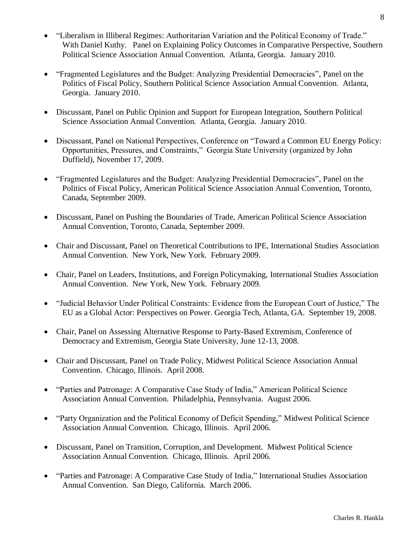- "Liberalism in Illiberal Regimes: Authoritarian Variation and the Political Economy of Trade." With Daniel Kuthy. Panel on Explaining Policy Outcomes in Comparative Perspective, Southern Political Science Association Annual Convention. Atlanta, Georgia. January 2010.
- "Fragmented Legislatures and the Budget: Analyzing Presidential Democracies", Panel on the Politics of Fiscal Policy, Southern Political Science Association Annual Convention. Atlanta, Georgia. January 2010.
- Discussant, Panel on Public Opinion and Support for European Integration, Southern Political Science Association Annual Convention. Atlanta, Georgia. January 2010.
- Discussant, Panel on National Perspectives, Conference on "Toward a Common EU Energy Policy: Opportunities, Pressures, and Constraints," Georgia State University (organized by John Duffield), November 17, 2009.
- "Fragmented Legislatures and the Budget: Analyzing Presidential Democracies", Panel on the Politics of Fiscal Policy, American Political Science Association Annual Convention, Toronto, Canada, September 2009.
- Discussant, Panel on Pushing the Boundaries of Trade, American Political Science Association Annual Convention, Toronto, Canada, September 2009.
- Chair and Discussant, Panel on Theoretical Contributions to IPE, International Studies Association Annual Convention. New York, New York. February 2009.
- Chair, Panel on Leaders, Institutions, and Foreign Policymaking, International Studies Association Annual Convention. New York, New York. February 2009.
- "Judicial Behavior Under Political Constraints: Evidence from the European Court of Justice," The EU as a Global Actor: Perspectives on Power. Georgia Tech, Atlanta, GA. September 19, 2008.
- Chair, Panel on Assessing Alternative Response to Party-Based Extremism, Conference of Democracy and Extremism, Georgia State University, June 12-13, 2008.
- Chair and Discussant, Panel on Trade Policy, Midwest Political Science Association Annual Convention. Chicago, Illinois. April 2008.
- "Parties and Patronage: A Comparative Case Study of India," American Political Science Association Annual Convention. Philadelphia, Pennsylvania. August 2006.
- "Party Organization and the Political Economy of Deficit Spending," Midwest Political Science Association Annual Convention. Chicago, Illinois. April 2006.
- Discussant, Panel on Transition, Corruption, and Development. Midwest Political Science Association Annual Convention. Chicago, Illinois. April 2006.
- "Parties and Patronage: A Comparative Case Study of India," International Studies Association Annual Convention. San Diego, California. March 2006.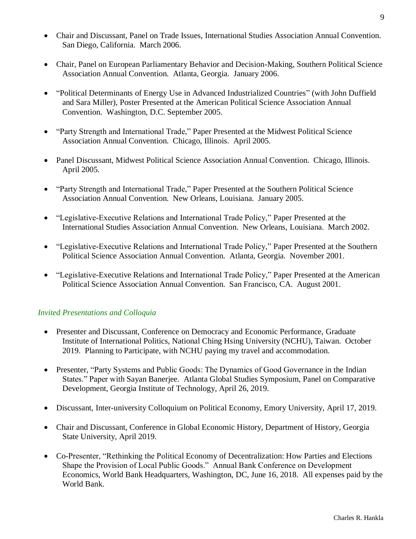- Chair and Discussant, Panel on Trade Issues, International Studies Association Annual Convention. San Diego, California. March 2006.
- Chair, Panel on European Parliamentary Behavior and Decision-Making, Southern Political Science Association Annual Convention. Atlanta, Georgia. January 2006.
- "Political Determinants of Energy Use in Advanced Industrialized Countries" (with John Duffield and Sara Miller), Poster Presented at the American Political Science Association Annual Convention. Washington, D.C. September 2005.
- "Party Strength and International Trade," Paper Presented at the Midwest Political Science Association Annual Convention. Chicago, Illinois. April 2005.
- Panel Discussant, Midwest Political Science Association Annual Convention. Chicago, Illinois. April 2005.
- "Party Strength and International Trade," Paper Presented at the Southern Political Science Association Annual Convention. New Orleans, Louisiana. January 2005.
- "Legislative-Executive Relations and International Trade Policy," Paper Presented at the International Studies Association Annual Convention. New Orleans, Louisiana. March 2002.
- "Legislative-Executive Relations and International Trade Policy," Paper Presented at the Southern Political Science Association Annual Convention. Atlanta, Georgia. November 2001.
- "Legislative-Executive Relations and International Trade Policy," Paper Presented at the American Political Science Association Annual Convention. San Francisco, CA. August 2001.

### *Invited Presentations and Colloquia*

- Presenter and Discussant, Conference on Democracy and Economic Performance, Graduate Institute of International Politics, National Ching Hsing University (NCHU), Taiwan. October 2019. Planning to Participate, with NCHU paying my travel and accommodation.
- Presenter, "Party Systems and Public Goods: The Dynamics of Good Governance in the Indian States." Paper with Sayan Banerjee. Atlanta Global Studies Symposium, Panel on Comparative Development, Georgia Institute of Technology, April 26, 2019.
- Discussant, Inter-university Colloquium on Political Economy, Emory University, April 17, 2019.
- Chair and Discussant, Conference in Global Economic History, Department of History, Georgia State University, April 2019.
- Co-Presenter, "Rethinking the Political Economy of Decentralization: How Parties and Elections Shape the Provision of Local Public Goods." Annual Bank Conference on Development Economics, World Bank Headquarters, Washington, DC, June 16, 2018. All expenses paid by the World Bank.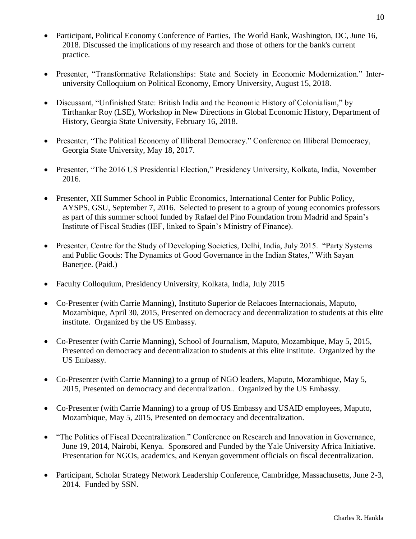- Participant, Political Economy Conference of Parties, The World Bank, Washington, DC, June 16, 2018. Discussed the implications of my research and those of others for the bank's current practice.
- Presenter, "Transformative Relationships: State and Society in Economic Modernization." Interuniversity Colloquium on Political Economy, Emory University, August 15, 2018.
- Discussant, "Unfinished State: British India and the Economic History of Colonialism," by Tirthankar Roy (LSE), Workshop in New Directions in Global Economic History, Department of History, Georgia State University, February 16, 2018.
- Presenter, "The Political Economy of Illiberal Democracy." Conference on Illiberal Democracy, Georgia State University, May 18, 2017.
- Presenter, "The 2016 US Presidential Election," Presidency University, Kolkata, India, November 2016.
- Presenter, XII Summer School in Public Economics, International Center for Public Policy, AYSPS, GSU, September 7, 2016. Selected to present to a group of young economics professors as part of this summer school funded by Rafael del Pino Foundation from Madrid and Spain's Institute of Fiscal Studies (IEF, linked to Spain's Ministry of Finance).
- Presenter, Centre for the Study of Developing Societies, Delhi, India, July 2015. "Party Systems" and Public Goods: The Dynamics of Good Governance in the Indian States," With Sayan Banerjee. (Paid.)
- Faculty Colloquium, Presidency University, Kolkata, India, July 2015
- Co-Presenter (with Carrie Manning), Instituto Superior de Relacoes Internacionais, Maputo, Mozambique, April 30, 2015, Presented on democracy and decentralization to students at this elite institute. Organized by the US Embassy.
- Co-Presenter (with Carrie Manning), School of Journalism, Maputo, Mozambique, May 5, 2015, Presented on democracy and decentralization to students at this elite institute. Organized by the US Embassy.
- Co-Presenter (with Carrie Manning) to a group of NGO leaders, Maputo, Mozambique, May 5, 2015, Presented on democracy and decentralization.. Organized by the US Embassy.
- Co-Presenter (with Carrie Manning) to a group of US Embassy and USAID employees, Maputo, Mozambique, May 5, 2015, Presented on democracy and decentralization.
- "The Politics of Fiscal Decentralization." Conference on Research and Innovation in Governance, June 19, 2014, Nairobi, Kenya. Sponsored and Funded by the Yale University Africa Initiative. Presentation for NGOs, academics, and Kenyan government officials on fiscal decentralization.
- Participant, Scholar Strategy Network Leadership Conference, Cambridge, Massachusetts, June 2-3, 2014. Funded by SSN.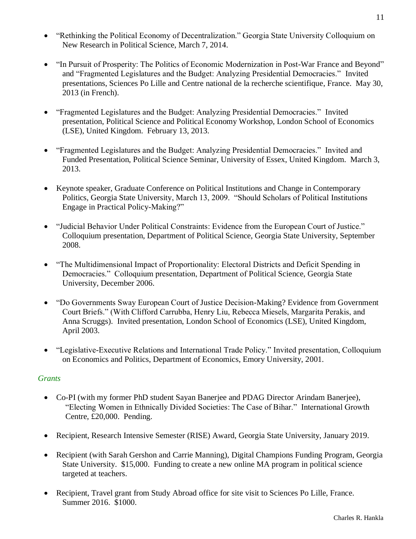- "Rethinking the Political Economy of Decentralization." Georgia State University Colloquium on New Research in Political Science, March 7, 2014.
- "In Pursuit of Prosperity: The Politics of Economic Modernization in Post-War France and Beyond" and "Fragmented Legislatures and the Budget: Analyzing Presidential Democracies." Invited presentations, Sciences Po Lille and Centre national de la recherche scientifique, France. May 30, 2013 (in French).
- "Fragmented Legislatures and the Budget: Analyzing Presidential Democracies." Invited presentation, Political Science and Political Economy Workshop, London School of Economics (LSE), United Kingdom. February 13, 2013.
- "Fragmented Legislatures and the Budget: Analyzing Presidential Democracies." Invited and Funded Presentation, Political Science Seminar, University of Essex, United Kingdom. March 3, 2013.
- Keynote speaker, Graduate Conference on Political Institutions and Change in Contemporary Politics, Georgia State University, March 13, 2009. "Should Scholars of Political Institutions Engage in Practical Policy-Making?"
- "Judicial Behavior Under Political Constraints: Evidence from the European Court of Justice." Colloquium presentation, Department of Political Science, Georgia State University, September 2008.
- "The Multidimensional Impact of Proportionality: Electoral Districts and Deficit Spending in Democracies." Colloquium presentation, Department of Political Science, Georgia State University, December 2006.
- "Do Governments Sway European Court of Justice Decision-Making? Evidence from Government Court Briefs." (With Clifford Carrubba, Henry Liu, Rebecca Miesels, Margarita Perakis, and Anna Scruggs). Invited presentation, London School of Economics (LSE), United Kingdom, April 2003.
- "Legislative-Executive Relations and International Trade Policy." Invited presentation, Colloquium on Economics and Politics, Department of Economics, Emory University, 2001.

### *Grants*

- Co-PI (with my former PhD student Sayan Banerjee and PDAG Director Arindam Banerjee), "Electing Women in Ethnically Divided Societies: The Case of Bihar." International Growth Centre, £20,000. Pending.
- Recipient, Research Intensive Semester (RISE) Award, Georgia State University, January 2019.
- Recipient (with Sarah Gershon and Carrie Manning), Digital Champions Funding Program, Georgia State University. \$15,000. Funding to create a new online MA program in political science targeted at teachers.
- Recipient, Travel grant from Study Abroad office for site visit to Sciences Po Lille, France. Summer 2016. \$1000.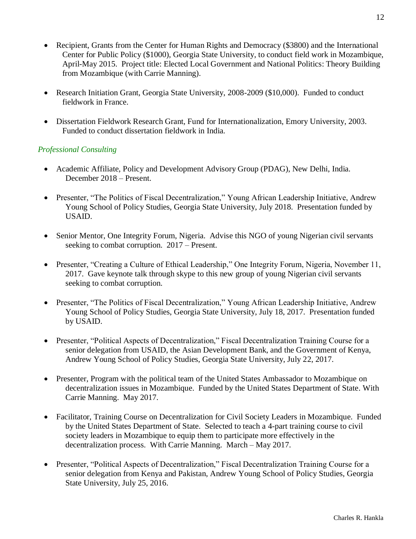- Recipient, Grants from the Center for Human Rights and Democracy (\$3800) and the International Center for Public Policy (\$1000), Georgia State University, to conduct field work in Mozambique, April-May 2015. Project title: Elected Local Government and National Politics: Theory Building from Mozambique (with Carrie Manning).
- Research Initiation Grant, Georgia State University, 2008-2009 (\$10,000). Funded to conduct fieldwork in France.
- Dissertation Fieldwork Research Grant, Fund for Internationalization, Emory University, 2003. Funded to conduct dissertation fieldwork in India.

#### *Professional Consulting*

- Academic Affiliate, Policy and Development Advisory Group (PDAG), New Delhi, India. December 2018 – Present.
- Presenter, "The Politics of Fiscal Decentralization," Young African Leadership Initiative, Andrew Young School of Policy Studies, Georgia State University, July 2018. Presentation funded by USAID.
- Senior Mentor, One Integrity Forum, Nigeria. Advise this NGO of young Nigerian civil servants seeking to combat corruption. 2017 – Present.
- Presenter, "Creating a Culture of Ethical Leadership," One Integrity Forum, Nigeria, November 11, 2017. Gave keynote talk through skype to this new group of young Nigerian civil servants seeking to combat corruption.
- Presenter, "The Politics of Fiscal Decentralization," Young African Leadership Initiative, Andrew Young School of Policy Studies, Georgia State University, July 18, 2017. Presentation funded by USAID.
- Presenter, "Political Aspects of Decentralization," Fiscal Decentralization Training Course for a senior delegation from USAID, the Asian Development Bank, and the Government of Kenya, Andrew Young School of Policy Studies, Georgia State University, July 22, 2017.
- Presenter, Program with the political team of the United States Ambassador to Mozambique on decentralization issues in Mozambique. Funded by the United States Department of State. With Carrie Manning. May 2017.
- Facilitator, Training Course on Decentralization for Civil Society Leaders in Mozambique. Funded by the United States Department of State. Selected to teach a 4-part training course to civil society leaders in Mozambique to equip them to participate more effectively in the decentralization process. With Carrie Manning. March – May 2017.
- Presenter, "Political Aspects of Decentralization," Fiscal Decentralization Training Course for a senior delegation from Kenya and Pakistan, Andrew Young School of Policy Studies, Georgia State University, July 25, 2016.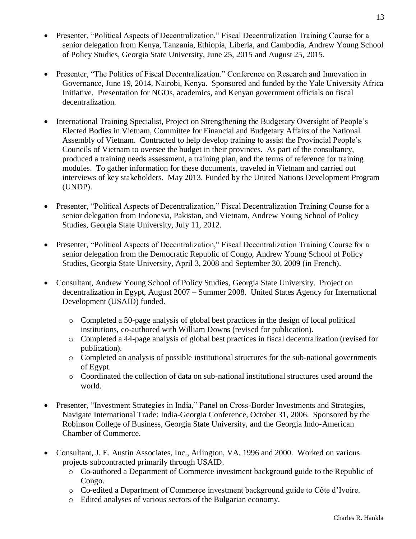- Presenter, "Political Aspects of Decentralization," Fiscal Decentralization Training Course for a senior delegation from Kenya, Tanzania, Ethiopia, Liberia, and Cambodia, Andrew Young School of Policy Studies, Georgia State University, June 25, 2015 and August 25, 2015.
- Presenter, "The Politics of Fiscal Decentralization." Conference on Research and Innovation in Governance, June 19, 2014, Nairobi, Kenya. Sponsored and funded by the Yale University Africa Initiative. Presentation for NGOs, academics, and Kenyan government officials on fiscal decentralization.
- International Training Specialist, Project on Strengthening the Budgetary Oversight of People's Elected Bodies in Vietnam, Committee for Financial and Budgetary Affairs of the National Assembly of Vietnam. Contracted to help develop training to assist the Provincial People's Councils of Vietnam to oversee the budget in their provinces. As part of the consultancy, produced a training needs assessment, a training plan, and the terms of reference for training modules. To gather information for these documents, traveled in Vietnam and carried out interviews of key stakeholders. May 2013. Funded by the United Nations Development Program (UNDP).
- Presenter, "Political Aspects of Decentralization," Fiscal Decentralization Training Course for a senior delegation from Indonesia, Pakistan, and Vietnam, Andrew Young School of Policy Studies, Georgia State University, July 11, 2012.
- Presenter, "Political Aspects of Decentralization," Fiscal Decentralization Training Course for a senior delegation from the Democratic Republic of Congo, Andrew Young School of Policy Studies, Georgia State University, April 3, 2008 and September 30, 2009 (in French).
- Consultant, Andrew Young School of Policy Studies, Georgia State University. Project on decentralization in Egypt, August 2007 – Summer 2008. United States Agency for International Development (USAID) funded.
	- o Completed a 50-page analysis of global best practices in the design of local political institutions, co-authored with William Downs (revised for publication).
	- o Completed a 44-page analysis of global best practices in fiscal decentralization (revised for publication).
	- o Completed an analysis of possible institutional structures for the sub-national governments of Egypt.
	- o Coordinated the collection of data on sub-national institutional structures used around the world.
- Presenter, "Investment Strategies in India," Panel on Cross-Border Investments and Strategies, Navigate International Trade: India-Georgia Conference, October 31, 2006. Sponsored by the Robinson College of Business, Georgia State University, and the Georgia Indo-American Chamber of Commerce.
- Consultant, J. E. Austin Associates, Inc., Arlington, VA, 1996 and 2000. Worked on various projects subcontracted primarily through USAID.
	- o Co-authored a Department of Commerce investment background guide to the Republic of Congo.
	- o Co-edited a Department of Commerce investment background guide to Côte d'Ivoire.
	- o Edited analyses of various sectors of the Bulgarian economy.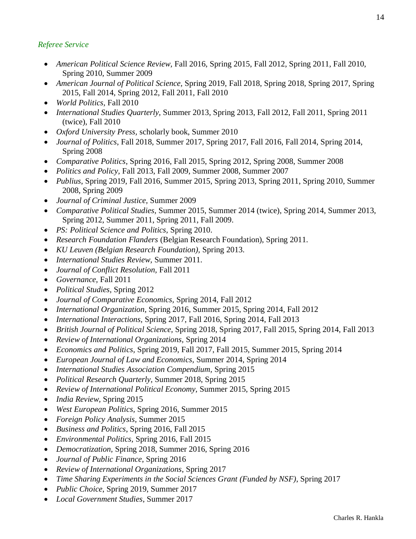## *Referee Service*

- *American Political Science Review,* Fall 2016, Spring 2015, Fall 2012, Spring 2011*,* Fall 2010, Spring 2010, Summer 2009
- *American Journal of Political Science,* Spring 2019, Fall 2018, Spring 2018, Spring 2017, Spring 2015, Fall 2014, Spring 2012, Fall 2011, Fall 2010
- *World Politics,* Fall 2010
- *International Studies Quarterly,* Summer 2013, Spring 2013, Fall 2012, Fall 2011, Spring 2011 (twice), Fall 2010
- *Oxford University Press,* scholarly book, Summer 2010
- *Journal of Politics*, Fall 2018, Summer 2017, Spring 2017, Fall 2016, Fall 2014, Spring 2014, Spring 2008
- *Comparative Politics*, Spring 2016, Fall 2015, Spring 2012, Spring 2008, Summer 2008
- *Politics and Policy,* Fall 2013, Fall 2009, Summer 2008, Summer 2007
- *Publius*, Spring 2019, Fall 2016, Summer 2015, Spring 2013, Spring 2011, Spring 2010, Summer 2008, Spring 2009
- *Journal of Criminal Justice,* Summer 2009
- *Comparative Political Studies,* Summer 2015, Summer 2014 (twice), Spring 2014, Summer 2013, Spring 2012, Summer 2011, Spring 2011, Fall 2009.
- *PS: Political Science and Politics,* Spring 2010.
- *Research Foundation Flanders* (Belgian Research Foundation), Spring 2011.
- *KU Leuven (Belgian Research Foundation),* Spring 2013.
- *International Studies Review,* Summer 2011.
- *Journal of Conflict Resolution,* Fall 2011
- *Governance,* Fall 2011
- *Political Studies,* Spring 2012
- *Journal of Comparative Economics,* Spring 2014, Fall 2012
- *International Organization*, Spring 2016, Summer 2015, Spring 2014, Fall 2012
- *International Interactions,* Spring 2017, Fall 2016, Spring 2014, Fall 2013
- *British Journal of Political Science,* Spring 2018, Spring 2017, Fall 2015, Spring 2014, Fall 2013
- *Review of International Organizations,* Spring 2014
- *Economics and Politics,* Spring 2019, Fall 2017, Fall 2015, Summer 2015, Spring 2014
- *European Journal of Law and Economics,* Summer 2014, Spring 2014
- *International Studies Association Compendium,* Spring 2015
- *Political Research Quarterly,* Summer 2018, Spring 2015
- *Review of International Political Economy,* Summer 2015, Spring 2015
- *India Review,* Spring 2015
- *West European Politics,* Spring 2016, Summer 2015
- *Foreign Policy Analysis,* Summer 2015
- *Business and Politics*, Spring 2016, Fall 2015
- *Environmental Politics,* Spring 2016, Fall 2015
- *Democratization,* Spring 2018, Summer 2016, Spring 2016
- *Journal of Public Finance*, Spring 2016
- *Review of International Organizations*, Spring 2017
- *Time Sharing Experiments in the Social Sciences Grant (Funded by NSF)*, Spring 2017
- *Public Choice*, Spring 2019, Summer 2017
- *Local Government Studies*, Summer 2017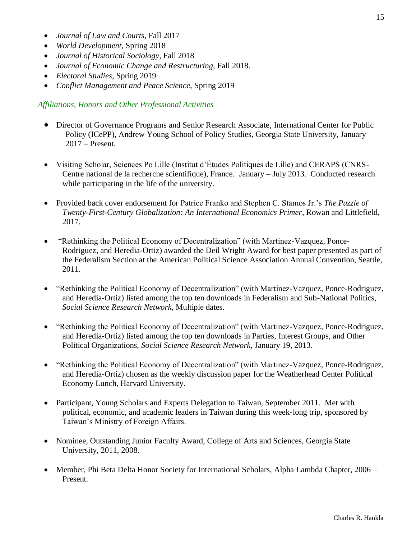- *Journal of Law and Courts,* Fall 2017
- *World Development,* Spring 2018
- *Journal of Historical Sociology,* Fall 2018
- *Journal of Economic Change and Restructuring*, Fall 2018.
- *Electoral Studies,* Spring 2019
- *Conflict Management and Peace Science,* Spring 2019

#### *Affiliations, Honors and Other Professional Activities*

- Director of Governance Programs and Senior Research Associate, International Center for Public Policy (ICePP), Andrew Young School of Policy Studies, Georgia State University, January 2017 – Present.
- Visiting Scholar, Sciences Po Lille (Institut d'Études Politiques de Lille) and CERAPS (CNRS-Centre national de la recherche scientifique), France. January – July 2013. Conducted research while participating in the life of the university.
- Provided back cover endorsement for Patrice Franko and Stephen C. Stamos Jr.'s *The Puzzle of Twenty-First-Century Globalization: An International Economics Primer*, Rowan and Littlefield, 2017.
- "Rethinking the Political Economy of Decentralization" (with Martinez-Vazquez, Ponce-Rodriguez, and Heredia-Ortiz) awarded the Deil Wright Award for best paper presented as part of the Federalism Section at the American Political Science Association Annual Convention, Seattle, 2011.
- "Rethinking the Political Economy of Decentralization" (with Martinez-Vazquez, Ponce-Rodriguez, and Heredia-Ortiz) listed among the top ten downloads in Federalism and Sub-National Politics, *Social Science Research Network,* Multiple dates.
- "Rethinking the Political Economy of Decentralization" (with Martinez-Vazquez, Ponce-Rodriguez, and Heredia-Ortiz) listed among the top ten downloads in Parties, Interest Groups, and Other Political Organizations, *Social Science Research Network,* January 19, 2013.
- "Rethinking the Political Economy of Decentralization" (with Martinez-Vazquez, Ponce-Rodriguez, and Heredia-Ortiz) chosen as the weekly discussion paper for the Weatherhead Center Political Economy Lunch, Harvard University.
- Participant, Young Scholars and Experts Delegation to Taiwan, September 2011. Met with political, economic, and academic leaders in Taiwan during this week-long trip, sponsored by Taiwan's Ministry of Foreign Affairs.
- Nominee, Outstanding Junior Faculty Award, College of Arts and Sciences, Georgia State University, 2011, 2008.
- Member, Phi Beta Delta Honor Society for International Scholars, Alpha Lambda Chapter, 2006 Present.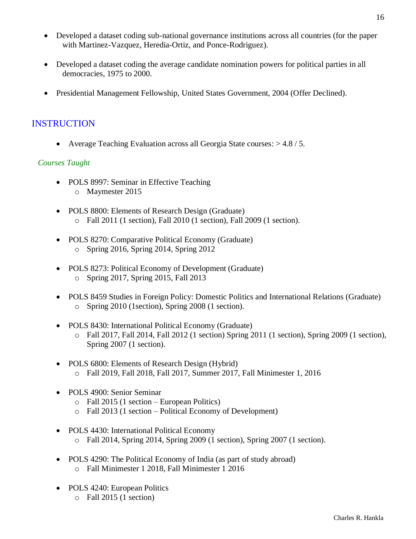- Developed a dataset coding sub-national governance institutions across all countries (for the paper with Martinez-Vazquez, Heredia-Ortiz, and Ponce-Rodriguez).
- Developed a dataset coding the average candidate nomination powers for political parties in all democracies, 1975 to 2000.
- Presidential Management Fellowship, United States Government, 2004 (Offer Declined).

## INSTRUCTION

• Average Teaching Evaluation across all Georgia State courses: > 4.8 / 5.

### *Courses Taught*

- POLS 8997: Seminar in Effective Teaching o Maymester 2015
- POLS 8800: Elements of Research Design (Graduate) o Fall 2011 (1 section), Fall 2010 (1 section), Fall 2009 (1 section).
- POLS 8270: Comparative Political Economy (Graduate) o Spring 2016, Spring 2014, Spring 2012
- POLS 8273: Political Economy of Development (Graduate) o Spring 2017, Spring 2015, Fall 2013
- POLS 8459 Studies in Foreign Policy: Domestic Politics and International Relations (Graduate) o Spring 2010 (1section), Spring 2008 (1 section).
- POLS 8430: International Political Economy (Graduate)
	- o Fall 2017, Fall 2014, Fall 2012 (1 section) Spring 2011 (1 section), Spring 2009 (1 section), Spring 2007 (1 section).
- POLS 6800: Elements of Research Design (Hybrid) o Fall 2019, Fall 2018, Fall 2017, Summer 2017, Fall Minimester 1, 2016
- POLS 4900: Senior Seminar
	- o Fall 2015 (1 section European Politics)
	- o Fall 2013 (1 section Political Economy of Development)
- POLS 4430: International Political Economy
	- o Fall 2014, Spring 2014, Spring 2009 (1 section), Spring 2007 (1 section).
- POLS 4290: The Political Economy of India (as part of study abroad) o Fall Minimester 1 2018, Fall Minimester 1 2016
- POLS 4240: European Politics
	- o Fall 2015 (1 section)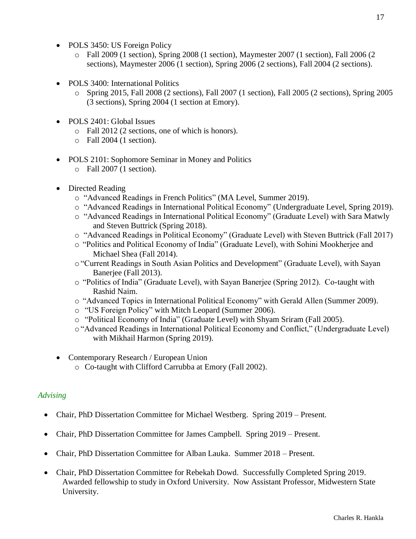- POLS 3450: US Foreign Policy
	- o Fall 2009 (1 section), Spring 2008 (1 section), Maymester 2007 (1 section), Fall 2006 (2 sections), Maymester 2006 (1 section), Spring 2006 (2 sections), Fall 2004 (2 sections).
- POLS 3400: International Politics
	- o Spring 2015, Fall 2008 (2 sections), Fall 2007 (1 section), Fall 2005 (2 sections), Spring 2005 (3 sections), Spring 2004 (1 section at Emory).
- POLS 2401: Global Issues
	- o Fall 2012 (2 sections, one of which is honors).
	- o Fall 2004 (1 section).
- POLS 2101: Sophomore Seminar in Money and Politics
	- o Fall 2007 (1 section).
- Directed Reading
	- o "Advanced Readings in French Politics" (MA Level, Summer 2019).
	- o "Advanced Readings in International Political Economy" (Undergraduate Level, Spring 2019).
	- o "Advanced Readings in International Political Economy" (Graduate Level) with Sara Matwly and Steven Buttrick (Spring 2018).
	- o "Advanced Readings in Political Economy" (Graduate Level) with Steven Buttrick (Fall 2017)
	- o "Politics and Political Economy of India" (Graduate Level), with Sohini Mookherjee and Michael Shea (Fall 2014).
	- o"Current Readings in South Asian Politics and Development" (Graduate Level), with Sayan Banerjee (Fall 2013).
	- o "Politics of India" (Graduate Level), with Sayan Banerjee (Spring 2012). Co-taught with Rashid Naim.
	- o "Advanced Topics in International Political Economy" with Gerald Allen (Summer 2009).
	- o "US Foreign Policy" with Mitch Leopard (Summer 2006).
	- o "Political Economy of India" (Graduate Level) with Shyam Sriram (Fall 2005).
	- o"Advanced Readings in International Political Economy and Conflict," (Undergraduate Level) with Mikhail Harmon (Spring 2019).
- Contemporary Research / European Union
	- o Co-taught with Clifford Carrubba at Emory (Fall 2002).

### *Advising*

- Chair, PhD Dissertation Committee for Michael Westberg. Spring 2019 Present.
- Chair, PhD Dissertation Committee for James Campbell. Spring 2019 Present.
- Chair, PhD Dissertation Committee for Alban Lauka. Summer 2018 Present.
- Chair, PhD Dissertation Committee for Rebekah Dowd. Successfully Completed Spring 2019. Awarded fellowship to study in Oxford University. Now Assistant Professor, Midwestern State University.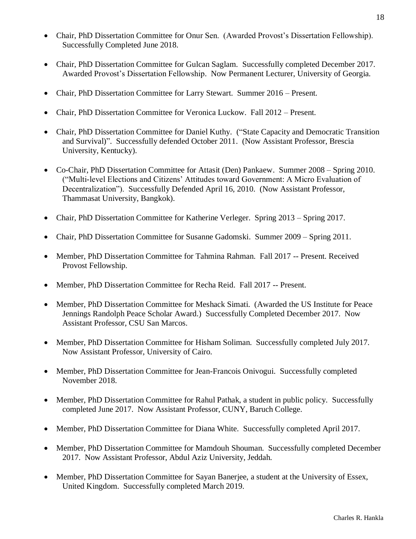- Chair, PhD Dissertation Committee for Onur Sen. (Awarded Provost's Dissertation Fellowship). Successfully Completed June 2018.
- Chair, PhD Dissertation Committee for Gulcan Saglam. Successfully completed December 2017. Awarded Provost's Dissertation Fellowship. Now Permanent Lecturer, University of Georgia.
- Chair, PhD Dissertation Committee for Larry Stewart. Summer 2016 Present.
- Chair, PhD Dissertation Committee for Veronica Luckow. Fall 2012 Present.
- Chair, PhD Dissertation Committee for Daniel Kuthy. ("State Capacity and Democratic Transition and Survival)". Successfully defended October 2011. (Now Assistant Professor, Brescia University, Kentucky).
- Co-Chair, PhD Dissertation Committee for Attasit (Den) Pankaew. Summer 2008 Spring 2010. ("Multi-level Elections and Citizens' Attitudes toward Government: A Micro Evaluation of Decentralization"). Successfully Defended April 16, 2010. (Now Assistant Professor, Thammasat University, Bangkok).
- Chair, PhD Dissertation Committee for Katherine Verleger. Spring 2013 Spring 2017.
- Chair, PhD Dissertation Committee for Susanne Gadomski. Summer 2009 Spring 2011.
- Member, PhD Dissertation Committee for Tahmina Rahman. Fall 2017 -- Present. Received Provost Fellowship.
- Member, PhD Dissertation Committee for Recha Reid. Fall 2017 -- Present.
- Member, PhD Dissertation Committee for Meshack Simati. (Awarded the US Institute for Peace Jennings Randolph Peace Scholar Award.) Successfully Completed December 2017. Now Assistant Professor, CSU San Marcos.
- Member, PhD Dissertation Committee for Hisham Soliman. Successfully completed July 2017. Now Assistant Professor, University of Cairo.
- Member, PhD Dissertation Committee for Jean-Francois Onivogui. Successfully completed November 2018.
- Member, PhD Dissertation Committee for Rahul Pathak, a student in public policy. Successfully completed June 2017. Now Assistant Professor, CUNY, Baruch College.
- Member, PhD Dissertation Committee for Diana White. Successfully completed April 2017.
- Member, PhD Dissertation Committee for Mamdouh Shouman. Successfully completed December 2017. Now Assistant Professor, Abdul Aziz University, Jeddah.
- Member, PhD Dissertation Committee for Sayan Banerjee, a student at the University of Essex, United Kingdom. Successfully completed March 2019.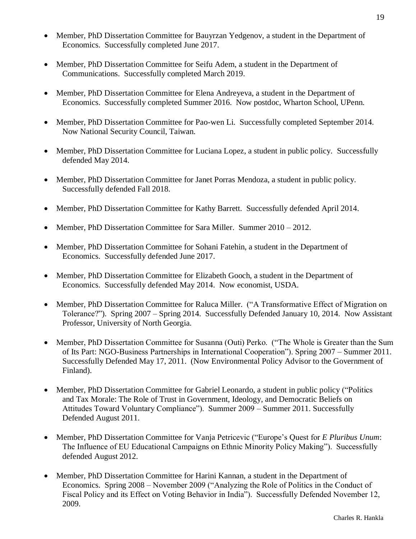- Member, PhD Dissertation Committee for Bauvrzan Yedgenov, a student in the Department of Economics. Successfully completed June 2017.
- Member, PhD Dissertation Committee for Seifu Adem, a student in the Department of Communications. Successfully completed March 2019.
- Member, PhD Dissertation Committee for Elena Andreyeva, a student in the Department of Economics. Successfully completed Summer 2016. Now postdoc, Wharton School, UPenn.
- Member, PhD Dissertation Committee for Pao-wen Li. Successfully completed September 2014. Now National Security Council, Taiwan.
- Member, PhD Dissertation Committee for Luciana Lopez, a student in public policy. Successfully defended May 2014.
- Member, PhD Dissertation Committee for Janet Porras Mendoza, a student in public policy. Successfully defended Fall 2018.
- Member, PhD Dissertation Committee for Kathy Barrett. Successfully defended April 2014.
- Member, PhD Dissertation Committee for Sara Miller. Summer 2010 2012.
- Member, PhD Dissertation Committee for Sohani Fatehin, a student in the Department of Economics. Successfully defended June 2017.
- Member, PhD Dissertation Committee for Elizabeth Gooch, a student in the Department of Economics. Successfully defended May 2014. Now economist, USDA.
- Member, PhD Dissertation Committee for Raluca Miller. ("A Transformative Effect of Migration on Tolerance?"). Spring 2007 – Spring 2014. Successfully Defended January 10, 2014. Now Assistant Professor, University of North Georgia.
- Member, PhD Dissertation Committee for Susanna (Outi) Perko. ("The Whole is Greater than the Sum of Its Part: NGO-Business Partnerships in International Cooperation"). Spring 2007 – Summer 2011. Successfully Defended May 17, 2011. (Now Environmental Policy Advisor to the Government of Finland).
- Member, PhD Dissertation Committee for Gabriel Leonardo, a student in public policy ("Politics") and Tax Morale: The Role of Trust in Government, Ideology, and Democratic Beliefs on Attitudes Toward Voluntary Compliance"). Summer 2009 – Summer 2011. Successfully Defended August 2011.
- Member, PhD Dissertation Committee for Vanja Petricevic ("Europe's Quest for *E Pluribus Unum*: The Influence of EU Educational Campaigns on Ethnic Minority Policy Making"). Successfully defended August 2012.
- Member, PhD Dissertation Committee for Harini Kannan, a student in the Department of Economics. Spring 2008 – November 2009 ("Analyzing the Role of Politics in the Conduct of Fiscal Policy and its Effect on Voting Behavior in India"). Successfully Defended November 12, 2009.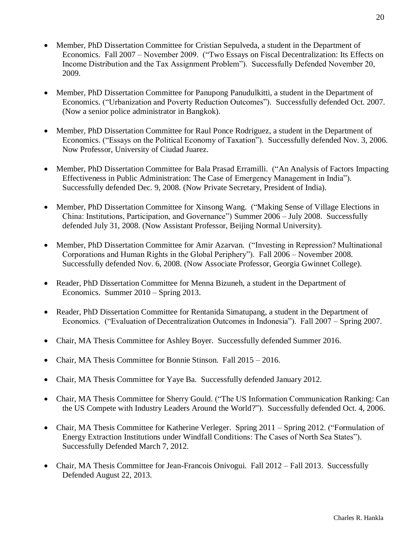- Member, PhD Dissertation Committee for Cristian Sepulveda, a student in the Department of Economics. Fall 2007 – November 2009. ("Two Essays on Fiscal Decentralization: Its Effects on Income Distribution and the Tax Assignment Problem"). Successfully Defended November 20, 2009.
- Member, PhD Dissertation Committee for Panupong Panudulkitti, a student in the Department of Economics. ("Urbanization and Poverty Reduction Outcomes"). Successfully defended Oct. 2007. (Now a senior police administrator in Bangkok).
- Member, PhD Dissertation Committee for Raul Ponce Rodriguez, a student in the Department of Economics. ("Essays on the Political Economy of Taxation"). Successfully defended Nov. 3, 2006. Now Professor, University of Ciudad Juarez.
- Member, PhD Dissertation Committee for Bala Prasad Erramilli. ("An Analysis of Factors Impacting Effectiveness in Public Administration: The Case of Emergency Management in India"). Successfully defended Dec. 9, 2008. (Now Private Secretary, President of India).
- Member, PhD Dissertation Committee for Xinsong Wang. ("Making Sense of Village Elections in China: Institutions, Participation, and Governance") Summer 2006 – July 2008. Successfully defended July 31, 2008. (Now Assistant Professor, Beijing Normal University).
- Member, PhD Dissertation Committee for Amir Azarvan. ("Investing in Repression? Multinational Corporations and Human Rights in the Global Periphery"). Fall 2006 – November 2008. Successfully defended Nov. 6, 2008. (Now Associate Professor, Georgia Gwinnet College).
- Reader, PhD Dissertation Committee for Menna Bizuneh, a student in the Department of Economics. Summer 2010 – Spring 2013.
- Reader, PhD Dissertation Committee for Rentanida Simatupang, a student in the Department of Economics. ("Evaluation of Decentralization Outcomes in Indonesia"). Fall 2007 – Spring 2007.
- Chair, MA Thesis Committee for Ashley Boyer. Successfully defended Summer 2016.
- Chair, MA Thesis Committee for Bonnie Stinson. Fall 2015 2016.
- Chair, MA Thesis Committee for Yaye Ba. Successfully defended January 2012.
- Chair, MA Thesis Committee for Sherry Gould. ("The US Information Communication Ranking: Can the US Compete with Industry Leaders Around the World?"). Successfully defended Oct. 4, 2006.
- Chair, MA Thesis Committee for Katherine Verleger. Spring 2011 Spring 2012. ("Formulation of Energy Extraction Institutions under Windfall Conditions: The Cases of North Sea States"). Successfully Defended March 7, 2012.
- Chair, MA Thesis Committee for Jean-Francois Onivogui. Fall 2012 Fall 2013. Successfully Defended August 22, 2013.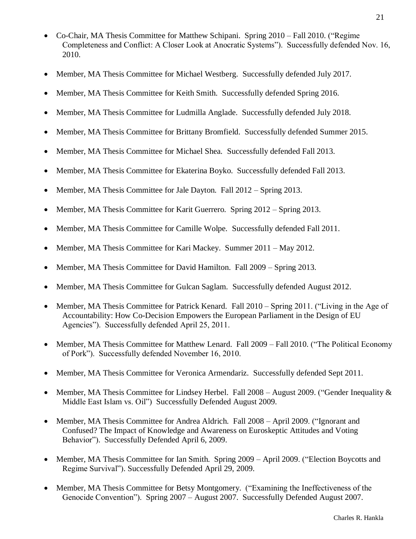- Co-Chair, MA Thesis Committee for Matthew Schipani. Spring 2010 Fall 2010. ("Regime Completeness and Conflict: A Closer Look at Anocratic Systems"). Successfully defended Nov. 16, 2010.
- Member, MA Thesis Committee for Michael Westberg. Successfully defended July 2017.
- Member, MA Thesis Committee for Keith Smith. Successfully defended Spring 2016.
- Member, MA Thesis Committee for Ludmilla Anglade. Successfully defended July 2018.
- Member, MA Thesis Committee for Brittany Bromfield. Successfully defended Summer 2015.
- Member, MA Thesis Committee for Michael Shea. Successfully defended Fall 2013.
- Member, MA Thesis Committee for Ekaterina Boyko. Successfully defended Fall 2013.
- Member, MA Thesis Committee for Jale Dayton. Fall 2012 Spring 2013.
- Member, MA Thesis Committee for Karit Guerrero. Spring 2012 Spring 2013.
- Member, MA Thesis Committee for Camille Wolpe. Successfully defended Fall 2011.
- Member, MA Thesis Committee for Kari Mackey. Summer 2011 May 2012.
- Member, MA Thesis Committee for David Hamilton. Fall 2009 Spring 2013.
- Member, MA Thesis Committee for Gulcan Saglam. Successfully defended August 2012.
- Member, MA Thesis Committee for Patrick Kenard. Fall 2010 Spring 2011. ("Living in the Age of Accountability: How Co-Decision Empowers the European Parliament in the Design of EU Agencies"). Successfully defended April 25, 2011.
- Member, MA Thesis Committee for Matthew Lenard. Fall 2009 Fall 2010. ("The Political Economy of Pork"). Successfully defended November 16, 2010.
- Member, MA Thesis Committee for Veronica Armendariz. Successfully defended Sept 2011.
- Member, MA Thesis Committee for Lindsey Herbel. Fall  $2008 -$ August 2009. ("Gender Inequality  $\&$ Middle East Islam vs. Oil") Successfully Defended August 2009.
- Member, MA Thesis Committee for Andrea Aldrich. Fall 2008 April 2009. ("Ignorant and Confused? The Impact of Knowledge and Awareness on Euroskeptic Attitudes and Voting Behavior"). Successfully Defended April 6, 2009.
- Member, MA Thesis Committee for Ian Smith. Spring 2009 April 2009. ("Election Boycotts and Regime Survival"). Successfully Defended April 29, 2009.
- Member, MA Thesis Committee for Betsy Montgomery. ("Examining the Ineffectiveness of the Genocide Convention"). Spring 2007 – August 2007. Successfully Defended August 2007.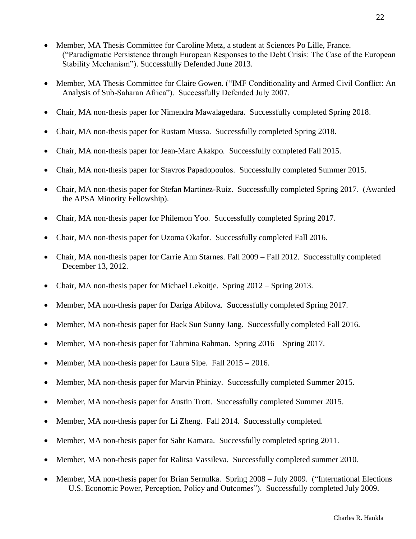- Member, MA Thesis Committee for Caroline Metz, a student at Sciences Po Lille, France. ("Paradigmatic Persistence through European Responses to the Debt Crisis: The Case of the European Stability Mechanism"). Successfully Defended June 2013.
- Member, MA Thesis Committee for Claire Gowen. ("IMF Conditionality and Armed Civil Conflict: An Analysis of Sub-Saharan Africa"). Successfully Defended July 2007.
- Chair, MA non-thesis paper for Nimendra Mawalagedara. Successfully completed Spring 2018.
- Chair, MA non-thesis paper for Rustam Mussa. Successfully completed Spring 2018.
- Chair, MA non-thesis paper for Jean-Marc Akakpo. Successfully completed Fall 2015.
- Chair, MA non-thesis paper for Stavros Papadopoulos. Successfully completed Summer 2015.
- Chair, MA non-thesis paper for Stefan Martinez-Ruiz. Successfully completed Spring 2017. (Awarded the APSA Minority Fellowship).
- Chair, MA non-thesis paper for Philemon Yoo. Successfully completed Spring 2017.
- Chair, MA non-thesis paper for Uzoma Okafor. Successfully completed Fall 2016.
- Chair, MA non-thesis paper for Carrie Ann Starnes. Fall 2009 Fall 2012. Successfully completed December 13, 2012.
- Chair, MA non-thesis paper for Michael Lekoitje. Spring 2012 Spring 2013.
- Member, MA non-thesis paper for Dariga Abilova. Successfully completed Spring 2017.
- Member, MA non-thesis paper for Baek Sun Sunny Jang. Successfully completed Fall 2016.
- Member, MA non-thesis paper for Tahmina Rahman. Spring 2016 Spring 2017.
- Member, MA non-thesis paper for Laura Sipe. Fall 2015 2016.
- Member, MA non-thesis paper for Marvin Phinizy. Successfully completed Summer 2015.
- Member, MA non-thesis paper for Austin Trott. Successfully completed Summer 2015.
- Member, MA non-thesis paper for Li Zheng. Fall 2014. Successfully completed.
- Member, MA non-thesis paper for Sahr Kamara. Successfully completed spring 2011.
- Member, MA non-thesis paper for Ralitsa Vassileva. Successfully completed summer 2010.
- Member, MA non-thesis paper for Brian Sernulka. Spring 2008 July 2009. ("International Elections – U.S. Economic Power, Perception, Policy and Outcomes"). Successfully completed July 2009.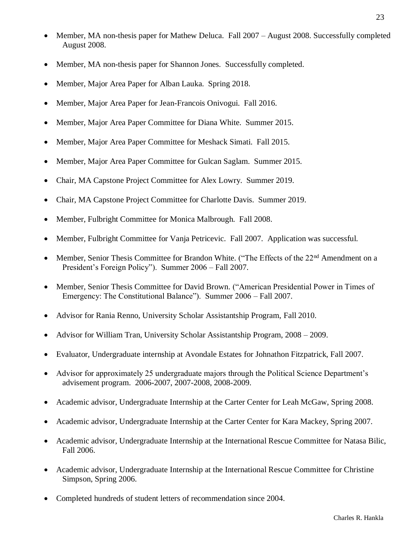- Member, MA non-thesis paper for Mathew Deluca. Fall 2007 August 2008. Successfully completed August 2008.
- Member, MA non-thesis paper for Shannon Jones. Successfully completed.
- Member, Major Area Paper for Alban Lauka. Spring 2018.
- Member, Major Area Paper for Jean-Francois Onivogui. Fall 2016.
- Member, Major Area Paper Committee for Diana White. Summer 2015.
- Member, Major Area Paper Committee for Meshack Simati. Fall 2015.
- Member, Major Area Paper Committee for Gulcan Saglam. Summer 2015.
- Chair, MA Capstone Project Committee for Alex Lowry. Summer 2019.
- Chair, MA Capstone Project Committee for Charlotte Davis. Summer 2019.
- Member, Fulbright Committee for Monica Malbrough. Fall 2008.
- Member, Fulbright Committee for Vanja Petricevic. Fall 2007. Application was successful.
- Member, Senior Thesis Committee for Brandon White. ("The Effects of the 22<sup>nd</sup> Amendment on a President's Foreign Policy"). Summer 2006 – Fall 2007.
- Member, Senior Thesis Committee for David Brown. ("American Presidential Power in Times of Emergency: The Constitutional Balance"). Summer 2006 – Fall 2007.
- Advisor for Rania Renno, University Scholar Assistantship Program, Fall 2010.
- Advisor for William Tran, University Scholar Assistantship Program, 2008 2009.
- Evaluator, Undergraduate internship at Avondale Estates for Johnathon Fitzpatrick, Fall 2007.
- Advisor for approximately 25 undergraduate majors through the Political Science Department's advisement program. 2006-2007, 2007-2008, 2008-2009.
- Academic advisor, Undergraduate Internship at the Carter Center for Leah McGaw, Spring 2008.
- Academic advisor, Undergraduate Internship at the Carter Center for Kara Mackey, Spring 2007.
- Academic advisor, Undergraduate Internship at the International Rescue Committee for Natasa Bilic, Fall 2006.
- Academic advisor, Undergraduate Internship at the International Rescue Committee for Christine Simpson, Spring 2006.
- Completed hundreds of student letters of recommendation since 2004.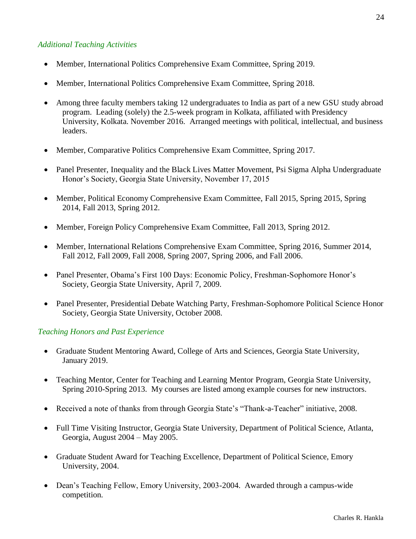#### *Additional Teaching Activities*

- Member, International Politics Comprehensive Exam Committee, Spring 2019.
- Member, International Politics Comprehensive Exam Committee, Spring 2018.
- Among three faculty members taking 12 undergraduates to India as part of a new GSU study abroad program. Leading (solely) the 2.5-week program in Kolkata, affiliated with Presidency University, Kolkata. November 2016. Arranged meetings with political, intellectual, and business leaders.
- Member, Comparative Politics Comprehensive Exam Committee, Spring 2017.
- Panel Presenter, Inequality and the Black Lives Matter Movement, Psi Sigma Alpha Undergraduate Honor's Society, Georgia State University, November 17, 2015
- Member, Political Economy Comprehensive Exam Committee, Fall 2015, Spring 2015, Spring 2014, Fall 2013, Spring 2012.
- Member, Foreign Policy Comprehensive Exam Committee, Fall 2013, Spring 2012.
- Member, International Relations Comprehensive Exam Committee, Spring 2016, Summer 2014, Fall 2012, Fall 2009, Fall 2008, Spring 2007, Spring 2006, and Fall 2006.
- Panel Presenter, Obama's First 100 Days: Economic Policy, Freshman-Sophomore Honor's Society, Georgia State University, April 7, 2009.
- Panel Presenter, Presidential Debate Watching Party, Freshman-Sophomore Political Science Honor Society, Georgia State University, October 2008.

#### *Teaching Honors and Past Experience*

- Graduate Student Mentoring Award, College of Arts and Sciences, Georgia State University, January 2019.
- Teaching Mentor, Center for Teaching and Learning Mentor Program, Georgia State University, Spring 2010-Spring 2013. My courses are listed among example courses for new instructors.
- Received a note of thanks from through Georgia State's "Thank-a-Teacher" initiative, 2008.
- Full Time Visiting Instructor, Georgia State University, Department of Political Science, Atlanta, Georgia, August 2004 – May 2005.
- Graduate Student Award for Teaching Excellence, Department of Political Science, Emory University, 2004.
- Dean's Teaching Fellow, Emory University, 2003-2004. Awarded through a campus-wide competition.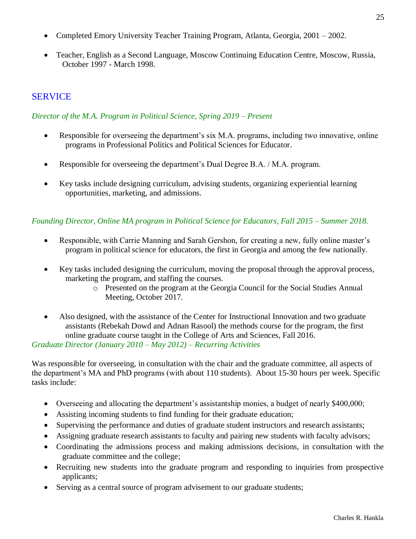- Completed Emory University Teacher Training Program, Atlanta, Georgia, 2001 2002.
- Teacher, English as a Second Language, Moscow Continuing Education Centre, Moscow, Russia, October 1997 - March 1998.

## **SERVICE**

#### *Director of the M.A. Program in Political Science, Spring 2019 – Present*

- Responsible for overseeing the department's six M.A. programs, including two innovative, online programs in Professional Politics and Political Sciences for Educator.
- Responsible for overseeing the department's Dual Degree B.A. / M.A. program.
- Key tasks include designing curriculum, advising students, organizing experiential learning opportunities, marketing, and admissions.

### *Founding Director, Online MA program in Political Science for Educators, Fall 2015 – Summer 2018.*

- Responsible, with Carrie Manning and Sarah Gershon, for creating a new, fully online master's program in political science for educators, the first in Georgia and among the few nationally.
- Key tasks included designing the curriculum, moving the proposal through the approval process, marketing the program, and staffing the courses.
	- o Presented on the program at the Georgia Council for the Social Studies Annual Meeting, October 2017.
- Also designed, with the assistance of the Center for Instructional Innovation and two graduate assistants (Rebekah Dowd and Adnan Rasool) the methods course for the program, the first online graduate course taught in the College of Arts and Sciences, Fall 2016.

#### *Graduate Director (January 2010 – May 2012) – Recurring Activities*

Was responsible for overseeing, in consultation with the chair and the graduate committee, all aspects of the department's MA and PhD programs (with about 110 students). About 15-30 hours per week. Specific tasks include:

- Overseeing and allocating the department's assistantship monies, a budget of nearly \$400,000;
- Assisting incoming students to find funding for their graduate education;
- Supervising the performance and duties of graduate student instructors and research assistants;
- Assigning graduate research assistants to faculty and pairing new students with faculty advisors;
- Coordinating the admissions process and making admissions decisions, in consultation with the graduate committee and the college;
- Recruiting new students into the graduate program and responding to inquiries from prospective applicants;
- Serving as a central source of program advisement to our graduate students;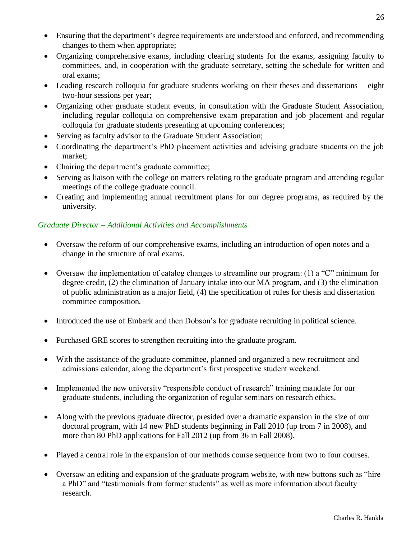- Ensuring that the department's degree requirements are understood and enforced, and recommending changes to them when appropriate;
- Organizing comprehensive exams, including clearing students for the exams, assigning faculty to committees, and, in cooperation with the graduate secretary, setting the schedule for written and oral exams;
- Leading research colloquia for graduate students working on their theses and dissertations eight two-hour sessions per year;
- Organizing other graduate student events, in consultation with the Graduate Student Association, including regular colloquia on comprehensive exam preparation and job placement and regular colloquia for graduate students presenting at upcoming conferences;
- Serving as faculty advisor to the Graduate Student Association;
- Coordinating the department's PhD placement activities and advising graduate students on the job market;
- Chairing the department's graduate committee;
- Serving as liaison with the college on matters relating to the graduate program and attending regular meetings of the college graduate council.
- Creating and implementing annual recruitment plans for our degree programs, as required by the university.

## *Graduate Director – Additional Activities and Accomplishments*

- Oversaw the reform of our comprehensive exams, including an introduction of open notes and a change in the structure of oral exams.
- Oversaw the implementation of catalog changes to streamline our program: (1) a "C" minimum for degree credit, (2) the elimination of January intake into our MA program, and (3) the elimination of public administration as a major field, (4) the specification of rules for thesis and dissertation committee composition.
- Introduced the use of Embark and then Dobson's for graduate recruiting in political science.
- Purchased GRE scores to strengthen recruiting into the graduate program.
- With the assistance of the graduate committee, planned and organized a new recruitment and admissions calendar, along the department's first prospective student weekend.
- Implemented the new university "responsible conduct of research" training mandate for our graduate students, including the organization of regular seminars on research ethics.
- Along with the previous graduate director, presided over a dramatic expansion in the size of our doctoral program, with 14 new PhD students beginning in Fall 2010 (up from 7 in 2008), and more than 80 PhD applications for Fall 2012 (up from 36 in Fall 2008).
- Played a central role in the expansion of our methods course sequence from two to four courses.
- Oversaw an editing and expansion of the graduate program website, with new buttons such as "hire a PhD" and "testimonials from former students" as well as more information about faculty research.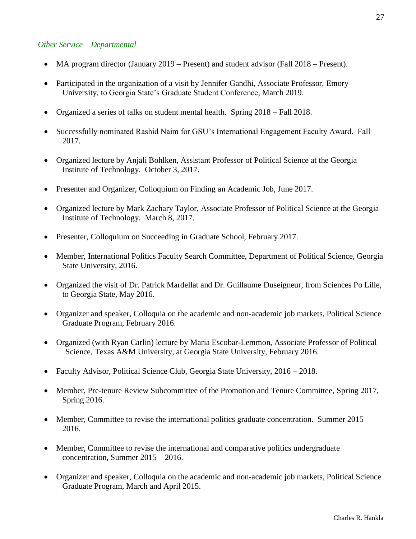#### *Other Service – Departmental*

- MA program director (January 2019 Present) and student advisor (Fall 2018 Present).
- Participated in the organization of a visit by Jennifer Gandhi, Associate Professor, Emory University, to Georgia State's Graduate Student Conference, March 2019.
- Organized a series of talks on student mental health. Spring 2018 Fall 2018.
- Successfully nominated Rashid Naim for GSU's International Engagement Faculty Award. Fall 2017.
- Organized lecture by Anjali Bohlken, Assistant Professor of Political Science at the Georgia Institute of Technology. October 3, 2017.
- Presenter and Organizer, Colloquium on Finding an Academic Job, June 2017.
- Organized lecture by Mark Zachary Taylor, Associate Professor of Political Science at the Georgia Institute of Technology. March 8, 2017.
- Presenter, Colloquium on Succeeding in Graduate School, February 2017.
- Member, International Politics Faculty Search Committee, Department of Political Science, Georgia State University, 2016.
- Organized the visit of Dr. Patrick Mardellat and Dr. Guillaume Duseigneur, from Sciences Po Lille, to Georgia State, May 2016.
- Organizer and speaker, Colloquia on the academic and non-academic job markets, Political Science Graduate Program, February 2016.
- Organized (with Ryan Carlin) lecture by Maria Escobar-Lemmon, Associate Professor of Political Science, Texas A&M University, at Georgia State University, February 2016.
- Faculty Advisor, Political Science Club, Georgia State University, 2016 2018.
- Member, Pre-tenure Review Subcommittee of the Promotion and Tenure Committee, Spring 2017, Spring 2016.
- Member, Committee to revise the international politics graduate concentration. Summer 2015 2016.
- Member, Committee to revise the international and comparative politics undergraduate concentration, Summer 2015 – 2016.
- Organizer and speaker, Colloquia on the academic and non-academic job markets, Political Science Graduate Program, March and April 2015.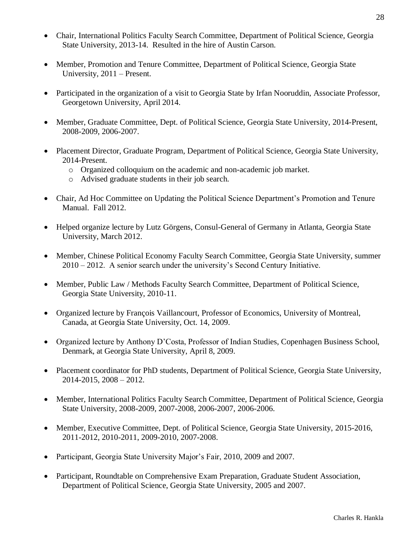- Chair, International Politics Faculty Search Committee, Department of Political Science, Georgia State University, 2013-14. Resulted in the hire of Austin Carson.
- Member, Promotion and Tenure Committee, Department of Political Science, Georgia State University, 2011 – Present.
- Participated in the organization of a visit to Georgia State by Irfan Nooruddin, Associate Professor, Georgetown University, April 2014.
- Member, Graduate Committee, Dept. of Political Science, Georgia State University, 2014-Present, 2008-2009, 2006-2007.
- Placement Director, Graduate Program, Department of Political Science, Georgia State University, 2014-Present.
	- o Organized colloquium on the academic and non-academic job market.
	- o Advised graduate students in their job search.
- Chair, Ad Hoc Committee on Updating the Political Science Department's Promotion and Tenure Manual. Fall 2012.
- Helped organize lecture by Lutz Görgens, Consul-General of Germany in Atlanta, Georgia State University, March 2012.
- Member, Chinese Political Economy Faculty Search Committee, Georgia State University, summer 2010 – 2012. A senior search under the university's Second Century Initiative.
- Member, Public Law / Methods Faculty Search Committee, Department of Political Science, Georgia State University, 2010-11.
- Organized lecture by François Vaillancourt, Professor of Economics, University of Montreal, Canada, at Georgia State University, Oct. 14, 2009.
- Organized lecture by Anthony D'Costa, Professor of Indian Studies, Copenhagen Business School, Denmark, at Georgia State University, April 8, 2009.
- Placement coordinator for PhD students, Department of Political Science, Georgia State University, 2014-2015, 2008 – 2012.
- Member, International Politics Faculty Search Committee, Department of Political Science, Georgia State University, 2008-2009, 2007-2008, 2006-2007, 2006-2006.
- Member, Executive Committee, Dept. of Political Science, Georgia State University, 2015-2016, 2011-2012, 2010-2011, 2009-2010, 2007-2008.
- Participant, Georgia State University Major's Fair, 2010, 2009 and 2007.
- Participant, Roundtable on Comprehensive Exam Preparation, Graduate Student Association, Department of Political Science, Georgia State University, 2005 and 2007.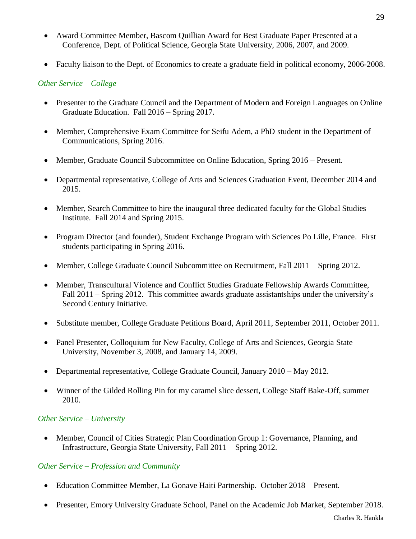- Award Committee Member, Bascom Quillian Award for Best Graduate Paper Presented at a Conference, Dept. of Political Science, Georgia State University, 2006, 2007, and 2009.
- Faculty liaison to the Dept. of Economics to create a graduate field in political economy, 2006-2008.

## *Other Service – College*

- Presenter to the Graduate Council and the Department of Modern and Foreign Languages on Online Graduate Education. Fall 2016 – Spring 2017.
- Member, Comprehensive Exam Committee for Seifu Adem, a PhD student in the Department of Communications, Spring 2016.
- Member, Graduate Council Subcommittee on Online Education, Spring 2016 Present.
- Departmental representative, College of Arts and Sciences Graduation Event, December 2014 and 2015.
- Member, Search Committee to hire the inaugural three dedicated faculty for the Global Studies Institute. Fall 2014 and Spring 2015.
- Program Director (and founder), Student Exchange Program with Sciences Po Lille, France. First students participating in Spring 2016.
- Member, College Graduate Council Subcommittee on Recruitment, Fall 2011 Spring 2012.
- Member, Transcultural Violence and Conflict Studies Graduate Fellowship Awards Committee, Fall 2011 – Spring 2012. This committee awards graduate assistantships under the university's Second Century Initiative.
- Substitute member, College Graduate Petitions Board, April 2011, September 2011, October 2011.
- Panel Presenter, Colloquium for New Faculty, College of Arts and Sciences, Georgia State University, November 3, 2008, and January 14, 2009.
- Departmental representative, College Graduate Council, January 2010 May 2012.
- Winner of the Gilded Rolling Pin for my caramel slice dessert, College Staff Bake-Off, summer 2010.

### *Other Service – University*

• Member, Council of Cities Strategic Plan Coordination Group 1: Governance, Planning, and Infrastructure, Georgia State University, Fall 2011 – Spring 2012.

### *Other Service – Profession and Community*

- Education Committee Member, La Gonave Haiti Partnership. October 2018 Present.
- Presenter, Emory University Graduate School, Panel on the Academic Job Market, September 2018.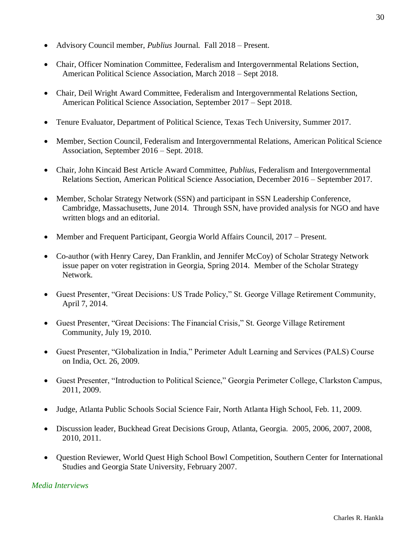- Advisory Council member, *Publius* Journal. Fall 2018 Present.
- Chair, Officer Nomination Committee, Federalism and Intergovernmental Relations Section, American Political Science Association, March 2018 – Sept 2018.
- Chair, Deil Wright Award Committee, Federalism and Intergovernmental Relations Section, American Political Science Association, September 2017 – Sept 2018.
- Tenure Evaluator, Department of Political Science, Texas Tech University, Summer 2017.
- Member, Section Council, Federalism and Intergovernmental Relations, American Political Science Association, September 2016 – Sept. 2018.
- Chair, John Kincaid Best Article Award Committee, *Publius*, Federalism and Intergovernmental Relations Section, American Political Science Association, December 2016 – September 2017.
- Member, Scholar Strategy Network (SSN) and participant in SSN Leadership Conference, Cambridge, Massachusetts, June 2014. Through SSN, have provided analysis for NGO and have written blogs and an editorial.
- Member and Frequent Participant, Georgia World Affairs Council, 2017 Present.
- Co-author (with Henry Carey, Dan Franklin, and Jennifer McCoy) of Scholar Strategy Network issue paper on voter registration in Georgia, Spring 2014. Member of the Scholar Strategy Network.
- Guest Presenter, "Great Decisions: US Trade Policy," St. George Village Retirement Community, April 7, 2014.
- Guest Presenter, "Great Decisions: The Financial Crisis," St. George Village Retirement Community, July 19, 2010.
- Guest Presenter, "Globalization in India," Perimeter Adult Learning and Services (PALS) Course on India, Oct. 26, 2009.
- Guest Presenter, "Introduction to Political Science," Georgia Perimeter College, Clarkston Campus, 2011, 2009.
- Judge, Atlanta Public Schools Social Science Fair, North Atlanta High School, Feb. 11, 2009.
- Discussion leader, Buckhead Great Decisions Group, Atlanta, Georgia. 2005, 2006, 2007, 2008, 2010, 2011.
- Question Reviewer, World Quest High School Bowl Competition, Southern Center for International Studies and Georgia State University, February 2007.

#### *Media Interviews*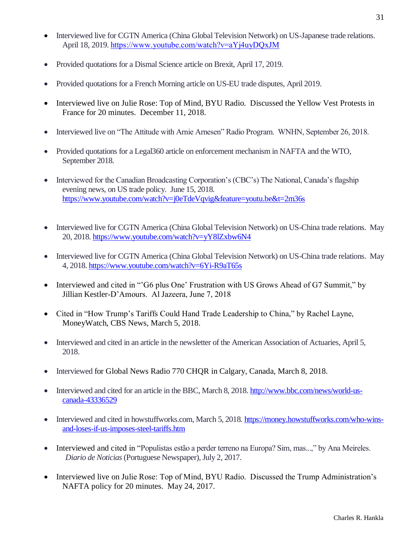- Interviewed live for CGTN America (China Global Television Network) on US-Japanese trade relations. April 18, 2019. <https://www.youtube.com/watch?v=aYj4uyDQxJM>
- Provided quotations for a Dismal Science article on Brexit, April 17, 2019.
- Provided quotations for a French Morning article on US-EU trade disputes, April 2019.
- Interviewed live on Julie Rose: Top of Mind, BYU Radio. Discussed the Yellow Vest Protests in France for 20 minutes. December 11, 2018.
- Interviewed live on "The Attitude with Arnie Arnesen" Radio Program. WNHN, September 26, 2018.
- Provided quotations for a Legal360 article on enforcement mechanism in NAFTA and the WTO, September 2018.
- Interviewed for the Canadian Broadcasting Corporation's (CBC's) The National, Canada's flagship evening news, on US trade policy. June 15, 2018. <https://www.youtube.com/watch?v=j0eTdeVqvig&feature=youtu.be&t=2m36s>
- Interviewed live for CGTN America (China Global Television Network) on US-China trade relations. May 20, 2018. <https://www.youtube.com/watch?v=yY8lZxbw6N4>
- Interviewed live for CGTN America (China Global Television Network) on US-China trade relations. May 4, 2018. <https://www.youtube.com/watch?v=6Yi-R9aT65s>
- Interviewed and cited in "'G6 plus One' Frustration with US Grows Ahead of G7 Summit," by Jillian Kestler-D'Amours. Al Jazeera, June 7, 2018
- Cited in "How Trump's Tariffs Could Hand Trade Leadership to China," by Rachel Layne, MoneyWatch, CBS News, March 5, 2018.
- Interviewed and cited in an article in the newsletter of the American Association of Actuaries, April 5, 2018.
- Interviewed for Global News Radio 770 CHQR in Calgary, Canada, March 8, 2018.
- Interviewed and cited for an article in the BBC, March 8, 2018. [http://www.bbc.com/news/world-us](http://www.bbc.com/news/world-us-canada-43336529)[canada-43336529](http://www.bbc.com/news/world-us-canada-43336529)
- Interviewed and cited in howstuffworks.com, March 5, 2018. [https://money.howstuffworks.com/who-wins](https://money.howstuffworks.com/who-wins-and-loses-if-us-imposes-steel-tariffs.htm)[and-loses-if-us-imposes-steel-tariffs.htm](https://money.howstuffworks.com/who-wins-and-loses-if-us-imposes-steel-tariffs.htm)
- Interviewed and cited in "Populistas estão a perder terreno na Europa? Sim, mas...," by Ana Meireles. *Diario de Noticias* (Portuguese Newspaper), July 2, 2017.
- Interviewed live on Julie Rose: Top of Mind, BYU Radio. Discussed the Trump Administration's NAFTA policy for 20 minutes. May 24, 2017.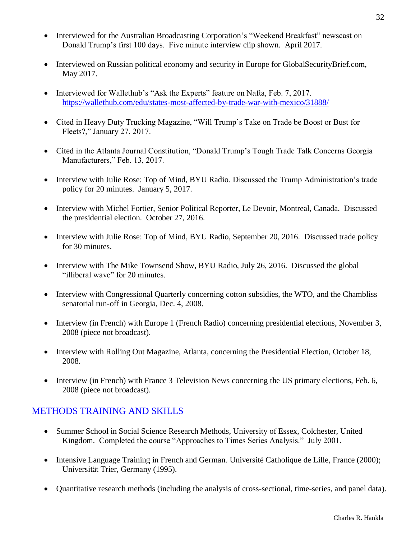- Interviewed for the Australian Broadcasting Corporation's "Weekend Breakfast" newscast on Donald Trump's first 100 days. Five minute interview clip shown. April 2017.
- Interviewed on Russian political economy and security in Europe for GlobalSecurityBrief.com, May 2017.
- Interviewed for Wallethub's "Ask the Experts" feature on Nafta, Feb. 7, 2017. <https://wallethub.com/edu/states-most-affected-by-trade-war-with-mexico/31888/>
- Cited in Heavy Duty Trucking Magazine, "Will Trump's Take on Trade be Boost or Bust for Fleets?," January 27, 2017.
- Cited in the Atlanta Journal Constitution, "Donald Trump's Tough Trade Talk Concerns Georgia Manufacturers," Feb. 13, 2017.
- Interview with Julie Rose: Top of Mind, BYU Radio. Discussed the Trump Administration's trade policy for 20 minutes. January 5, 2017.
- Interview with Michel Fortier, Senior Political Reporter, Le Devoir, Montreal, Canada. Discussed the presidential election. October 27, 2016.
- Interview with Julie Rose: Top of Mind, BYU Radio, September 20, 2016. Discussed trade policy for 30 minutes.
- Interview with The Mike Townsend Show, BYU Radio, July 26, 2016. Discussed the global "illiberal wave" for 20 minutes.
- Interview with Congressional Quarterly concerning cotton subsidies, the WTO, and the Chambliss senatorial run-off in Georgia, Dec. 4, 2008.
- Interview (in French) with Europe 1 (French Radio) concerning presidential elections, November 3, 2008 (piece not broadcast).
- Interview with Rolling Out Magazine, Atlanta, concerning the Presidential Election, October 18, 2008.
- Interview (in French) with France 3 Television News concerning the US primary elections, Feb. 6, 2008 (piece not broadcast).

## METHODS TRAINING AND SKILLS

- Summer School in Social Science Research Methods, University of Essex, Colchester, United Kingdom. Completed the course "Approaches to Times Series Analysis." July 2001.
- Intensive Language Training in French and German. Université Catholique de Lille, France (2000); Universität Trier, Germany (1995).
- Quantitative research methods (including the analysis of cross-sectional, time-series, and panel data).